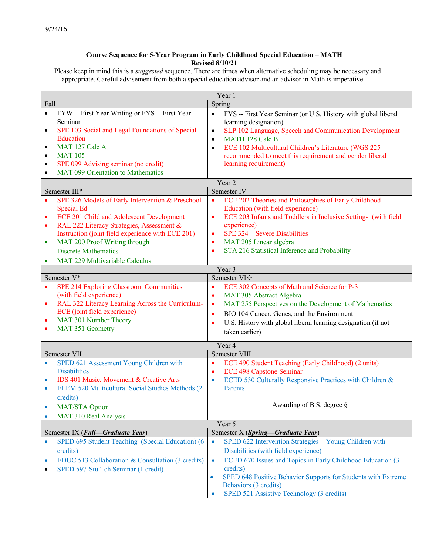## **Course Sequence for 5-Year Program in Early Childhood Special Education – MATH Revised 8/10/21**

Please keep in mind this is a *suggested* sequence. There are times when alternative scheduling may be necessary and appropriate. Careful advisement from both a special education advisor and an advisor in Math is imperative.

| Year 1                                                                                       |                                                                                                                                                                                                                                                                                                                                                                                                                                                                                                                                                    |                                                                                                                                                                                                                                                                                                                                                                                                                                                                                                                                                                                                                                                                                                           |
|----------------------------------------------------------------------------------------------|----------------------------------------------------------------------------------------------------------------------------------------------------------------------------------------------------------------------------------------------------------------------------------------------------------------------------------------------------------------------------------------------------------------------------------------------------------------------------------------------------------------------------------------------------|-----------------------------------------------------------------------------------------------------------------------------------------------------------------------------------------------------------------------------------------------------------------------------------------------------------------------------------------------------------------------------------------------------------------------------------------------------------------------------------------------------------------------------------------------------------------------------------------------------------------------------------------------------------------------------------------------------------|
| Fall                                                                                         |                                                                                                                                                                                                                                                                                                                                                                                                                                                                                                                                                    | Spring                                                                                                                                                                                                                                                                                                                                                                                                                                                                                                                                                                                                                                                                                                    |
| $\bullet$<br>$\bullet$<br>$\bullet$<br>$\bullet$<br>$\bullet$<br>$\bullet$                   | FYW -- First Year Writing or FYS -- First Year<br>Seminar<br>SPE 103 Social and Legal Foundations of Special<br>Education<br>MAT 127 Calc A<br><b>MAT 105</b><br>SPE 099 Advising seminar (no credit)<br>MAT 099 Orientation to Mathematics                                                                                                                                                                                                                                                                                                        | FYS -- First Year Seminar (or U.S. History with global liberal<br>$\bullet$<br>learning designation)<br>SLP 102 Language, Speech and Communication Development<br>$\bullet$<br>MATH 128 Calc B<br>$\bullet$<br>ECE 102 Multicultural Children's Literature (WGS 225<br>$\bullet$<br>recommended to meet this requirement and gender liberal<br>learning requirement)                                                                                                                                                                                                                                                                                                                                      |
|                                                                                              |                                                                                                                                                                                                                                                                                                                                                                                                                                                                                                                                                    | Year <sub>2</sub>                                                                                                                                                                                                                                                                                                                                                                                                                                                                                                                                                                                                                                                                                         |
|                                                                                              | Semester III*                                                                                                                                                                                                                                                                                                                                                                                                                                                                                                                                      | Semester IV                                                                                                                                                                                                                                                                                                                                                                                                                                                                                                                                                                                                                                                                                               |
| $\bullet$<br>$\bullet$<br>$\bullet$<br>$\bullet$<br>$\bullet$<br>$\bullet$<br>$\bullet$<br>٠ | SPE 326 Models of Early Intervention & Preschool<br><b>Special Ed</b><br>ECE 201 Child and Adolescent Development<br>RAL 222 Literacy Strategies, Assessment &<br>Instruction (joint field experience with ECE 201)<br>MAT 200 Proof Writing through<br><b>Discrete Mathematics</b><br>MAT 229 Multivariable Calculus<br>Semester V*<br><b>SPE 214 Exploring Classroom Communities</b><br>(with field experience)<br>RAL 322 Literacy Learning Across the Curriculum-<br>ECE (joint field experience)<br>MAT 301 Number Theory<br>MAT 351 Geometry | ECE 202 Theories and Philosophies of Early Childhood<br>$\bullet$<br>Education (with field experience)<br>ECE 203 Infants and Toddlers in Inclusive Settings (with field<br>$\bullet$<br>experience)<br>SPE 324 – Severe Disabilities<br>$\bullet$<br>MAT 205 Linear algebra<br>٠<br>STA 216 Statistical Inference and Probability<br>$\bullet$<br>Year 3<br>Semester VI $\diamond$<br>ECE 302 Concepts of Math and Science for P-3<br>$\bullet$<br>MAT 305 Abstract Algebra<br>$\bullet$<br>MAT 255 Perspectives on the Development of Mathematics<br>$\bullet$<br>BIO 104 Cancer, Genes, and the Environment<br>$\bullet$<br>U.S. History with global liberal learning designation (if not<br>$\bullet$ |
|                                                                                              |                                                                                                                                                                                                                                                                                                                                                                                                                                                                                                                                                    | taken earlier)                                                                                                                                                                                                                                                                                                                                                                                                                                                                                                                                                                                                                                                                                            |
| Year 4                                                                                       |                                                                                                                                                                                                                                                                                                                                                                                                                                                                                                                                                    |                                                                                                                                                                                                                                                                                                                                                                                                                                                                                                                                                                                                                                                                                                           |
| $\bullet$<br>$\bullet$<br>$\bullet$                                                          | Semester VII<br>SPED 621 Assessment Young Children with<br><b>Disabilities</b><br>IDS 401 Music, Movement & Creative Arts<br>ELEM 520 Multicultural Social Studies Methods (2)<br>credits)                                                                                                                                                                                                                                                                                                                                                         | Semester VIII<br>ECE 490 Student Teaching (Early Childhood) (2 units)<br>$\bullet$<br><b>ECE 498 Capstone Seminar</b><br>$\bullet$<br>ECED 530 Culturally Responsive Practices with Children &<br>$\bullet$<br>Parents                                                                                                                                                                                                                                                                                                                                                                                                                                                                                    |
| ۰                                                                                            | <b>MAT/STA Option</b>                                                                                                                                                                                                                                                                                                                                                                                                                                                                                                                              | Awarding of B.S. degree §                                                                                                                                                                                                                                                                                                                                                                                                                                                                                                                                                                                                                                                                                 |
|                                                                                              | <b>MAT 310 Real Analysis</b>                                                                                                                                                                                                                                                                                                                                                                                                                                                                                                                       |                                                                                                                                                                                                                                                                                                                                                                                                                                                                                                                                                                                                                                                                                                           |
| Year 5                                                                                       |                                                                                                                                                                                                                                                                                                                                                                                                                                                                                                                                                    |                                                                                                                                                                                                                                                                                                                                                                                                                                                                                                                                                                                                                                                                                                           |
|                                                                                              | Semester IX (Fall-Graduate Year)<br>SPED 695 Student Teaching (Special Education) (6                                                                                                                                                                                                                                                                                                                                                                                                                                                               | Semester X (Spring-Graduate Year)<br>SPED 622 Intervention Strategies - Young Children with<br>$\bullet$                                                                                                                                                                                                                                                                                                                                                                                                                                                                                                                                                                                                  |
| $\bullet$<br>۰<br>٠                                                                          | credits)<br>EDUC 513 Collaboration & Consultation (3 credits)<br>SPED 597-Stu Tch Seminar (1 credit)                                                                                                                                                                                                                                                                                                                                                                                                                                               | Disabilities (with field experience)<br>ECED 670 Issues and Topics in Early Childhood Education (3<br>$\bullet$<br>credits)<br>SPED 648 Positive Behavior Supports for Students with Extreme<br>$\bullet$<br>Behaviors (3 credits)<br>SPED 521 Assistive Technology (3 credits)                                                                                                                                                                                                                                                                                                                                                                                                                           |